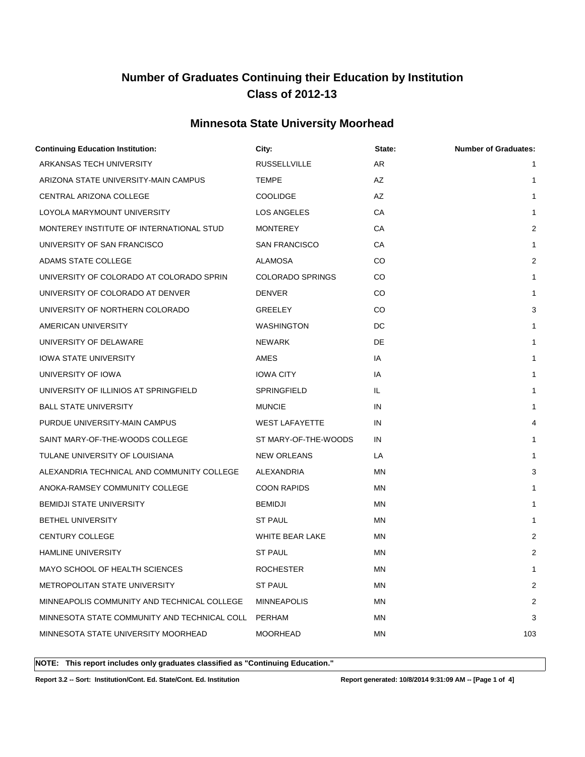### **Minnesota State University Moorhead**

| <b>Continuing Education Institution:</b>     | City:                   | State:    | <b>Number of Graduates:</b> |
|----------------------------------------------|-------------------------|-----------|-----------------------------|
| ARKANSAS TECH UNIVERSITY                     | <b>RUSSELLVILLE</b>     | AR        | $\mathbf{1}$                |
| ARIZONA STATE UNIVERSITY-MAIN CAMPUS         | <b>TEMPE</b>            | AZ        | 1                           |
| CENTRAL ARIZONA COLLEGE                      | <b>COOLIDGE</b>         | AZ        | $\mathbf{1}$                |
| LOYOLA MARYMOUNT UNIVERSITY                  | LOS ANGELES             | CA        | 1                           |
| MONTEREY INSTITUTE OF INTERNATIONAL STUD     | <b>MONTEREY</b>         | СA        | 2                           |
| UNIVERSITY OF SAN FRANCISCO                  | <b>SAN FRANCISCO</b>    | СA        | $\mathbf{1}$                |
| ADAMS STATE COLLEGE                          | <b>ALAMOSA</b>          | CO        | 2                           |
| UNIVERSITY OF COLORADO AT COLORADO SPRIN     | <b>COLORADO SPRINGS</b> | CO        | $\mathbf{1}$                |
| UNIVERSITY OF COLORADO AT DENVER             | <b>DENVER</b>           | CO        | $\mathbf{1}$                |
| UNIVERSITY OF NORTHERN COLORADO              | GREELEY                 | CO        | 3                           |
| AMERICAN UNIVERSITY                          | WASHINGTON              | DC        | 1                           |
| UNIVERSITY OF DELAWARE                       | <b>NEWARK</b>           | DE.       | $\mathbf{1}$                |
| <b>IOWA STATE UNIVERSITY</b>                 | AMES                    | IA        | $\mathbf{1}$                |
| UNIVERSITY OF IOWA                           | <b>IOWA CITY</b>        | IA        | 1                           |
| UNIVERSITY OF ILLINIOS AT SPRINGFIELD        | SPRINGFIELD             | IL        | $\mathbf{1}$                |
| <b>BALL STATE UNIVERSITY</b>                 | <b>MUNCIE</b>           | IN        | $\mathbf{1}$                |
| PURDUE UNIVERSITY-MAIN CAMPUS                | <b>WEST LAFAYETTE</b>   | IN        | 4                           |
| SAINT MARY-OF-THE-WOODS COLLEGE              | ST MARY-OF-THE-WOODS    | IN        | $\mathbf{1}$                |
| TULANE UNIVERSITY OF LOUISIANA               | <b>NEW ORLEANS</b>      | LA        | 1                           |
| ALEXANDRIA TECHNICAL AND COMMUNITY COLLEGE   | ALEXANDRIA              | ΜN        | 3                           |
| ANOKA-RAMSEY COMMUNITY COLLEGE               | <b>COON RAPIDS</b>      | ΜN        | $\mathbf{1}$                |
| <b>BEMIDJI STATE UNIVERSITY</b>              | BEMIDJI                 | ΜN        | $\mathbf{1}$                |
| <b>BETHEL UNIVERSITY</b>                     | <b>ST PAUL</b>          | MN        | 1                           |
| CENTURY COLLEGE                              | WHITE BEAR LAKE         | ΜN        | 2                           |
| <b>HAMLINE UNIVERSITY</b>                    | <b>ST PAUL</b>          | ΜN        | 2                           |
| MAYO SCHOOL OF HEALTH SCIENCES               | <b>ROCHESTER</b>        | <b>MN</b> | 1                           |
| METROPOLITAN STATE UNIVERSITY                | <b>ST PAUL</b>          | ΜN        | 2                           |
| MINNEAPOLIS COMMUNITY AND TECHNICAL COLLEGE  | <b>MINNEAPOLIS</b>      | ΜN        | 2                           |
| MINNESOTA STATE COMMUNITY AND TECHNICAL COLL | PERHAM                  | ΜN        | 3                           |
| MINNESOTA STATE UNIVERSITY MOORHEAD          | <b>MOORHEAD</b>         | MN        | 103                         |
|                                              |                         |           |                             |

**NOTE: This report includes only graduates classified as "Continuing Education."** 

**Report 3.2 -- Sort: Institution/Cont. Ed. State/Cont. Ed. Institution Report generated: 10/8/2014 9:31:09 AM -- [Page 1 of 4]**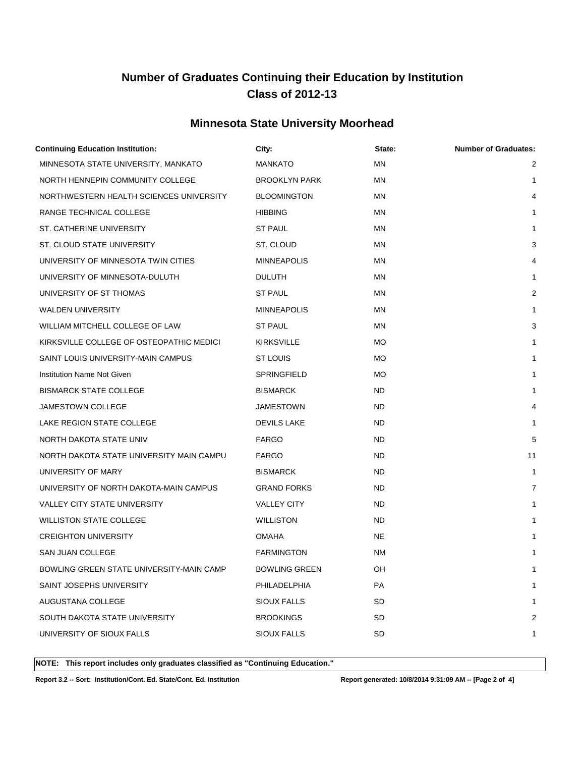### **Minnesota State University Moorhead**

| <b>Continuing Education Institution:</b> | City:                | State:    | <b>Number of Graduates:</b> |
|------------------------------------------|----------------------|-----------|-----------------------------|
| MINNESOTA STATE UNIVERSITY, MANKATO      | <b>MANKATO</b>       | <b>MN</b> | 2                           |
| NORTH HENNEPIN COMMUNITY COLLEGE         | <b>BROOKLYN PARK</b> | <b>MN</b> | $\mathbf{1}$                |
| NORTHWESTERN HEALTH SCIENCES UNIVERSITY  | <b>BLOOMINGTON</b>   | <b>MN</b> | 4                           |
| RANGE TECHNICAL COLLEGE                  | <b>HIBBING</b>       | ΜN        | 1                           |
| ST. CATHERINE UNIVERSITY                 | <b>ST PAUL</b>       | MN        | $\mathbf{1}$                |
| ST. CLOUD STATE UNIVERSITY               | ST. CLOUD            | <b>MN</b> | 3                           |
| UNIVERSITY OF MINNESOTA TWIN CITIES      | <b>MINNEAPOLIS</b>   | ΜN        | 4                           |
| UNIVERSITY OF MINNESOTA-DULUTH           | <b>DULUTH</b>        | MN        | $\mathbf{1}$                |
| UNIVERSITY OF ST THOMAS                  | <b>ST PAUL</b>       | ΜN        | $\overline{2}$              |
| <b>WALDEN UNIVERSITY</b>                 | <b>MINNEAPOLIS</b>   | ΜN        | $\mathbf{1}$                |
| WILLIAM MITCHELL COLLEGE OF LAW          | <b>ST PAUL</b>       | ΜN        | 3                           |
| KIRKSVILLE COLLEGE OF OSTEOPATHIC MEDICI | <b>KIRKSVILLE</b>    | MO.       | $\mathbf{1}$                |
| SAINT LOUIS UNIVERSITY-MAIN CAMPUS       | ST LOUIS             | <b>MO</b> | $\mathbf{1}$                |
| <b>Institution Name Not Given</b>        | SPRINGFIELD          | <b>MO</b> | 1                           |
| <b>BISMARCK STATE COLLEGE</b>            | <b>BISMARCK</b>      | ND.       | 1                           |
| JAMESTOWN COLLEGE                        | <b>JAMESTOWN</b>     | ND.       | 4                           |
| LAKE REGION STATE COLLEGE                | <b>DEVILS LAKE</b>   | ND        | 1                           |
| NORTH DAKOTA STATE UNIV                  | <b>FARGO</b>         | <b>ND</b> | 5                           |
| NORTH DAKOTA STATE UNIVERSITY MAIN CAMPU | <b>FARGO</b>         | ND        | 11                          |
| UNIVERSITY OF MARY                       | <b>BISMARCK</b>      | ND.       | $\mathbf{1}$                |
| UNIVERSITY OF NORTH DAKOTA-MAIN CAMPUS   | <b>GRAND FORKS</b>   | ND.       | $\overline{7}$              |
| <b>VALLEY CITY STATE UNIVERSITY</b>      | <b>VALLEY CITY</b>   | ND        | $\mathbf{1}$                |
| <b>WILLISTON STATE COLLEGE</b>           | <b>WILLISTON</b>     | ND.       | 1                           |
| <b>CREIGHTON UNIVERSITY</b>              | <b>OMAHA</b>         | NE.       | 1                           |
| SAN JUAN COLLEGE                         | <b>FARMINGTON</b>    | NM        | $\mathbf{1}$                |
| BOWLING GREEN STATE UNIVERSITY-MAIN CAMP | <b>BOWLING GREEN</b> | OH        | 1                           |
| SAINT JOSEPHS UNIVERSITY                 | PHILADELPHIA         | PA        | 1                           |
| AUGUSTANA COLLEGE                        | <b>SIOUX FALLS</b>   | <b>SD</b> | 1                           |
| SOUTH DAKOTA STATE UNIVERSITY            | <b>BROOKINGS</b>     | SD        | 2                           |
| UNIVERSITY OF SIOUX FALLS                | SIOUX FALLS          | SD        | 1                           |
|                                          |                      |           |                             |

**NOTE: This report includes only graduates classified as "Continuing Education."** 

**Report 3.2 -- Sort: Institution/Cont. Ed. State/Cont. Ed. Institution Report generated: 10/8/2014 9:31:09 AM -- [Page 2 of 4]**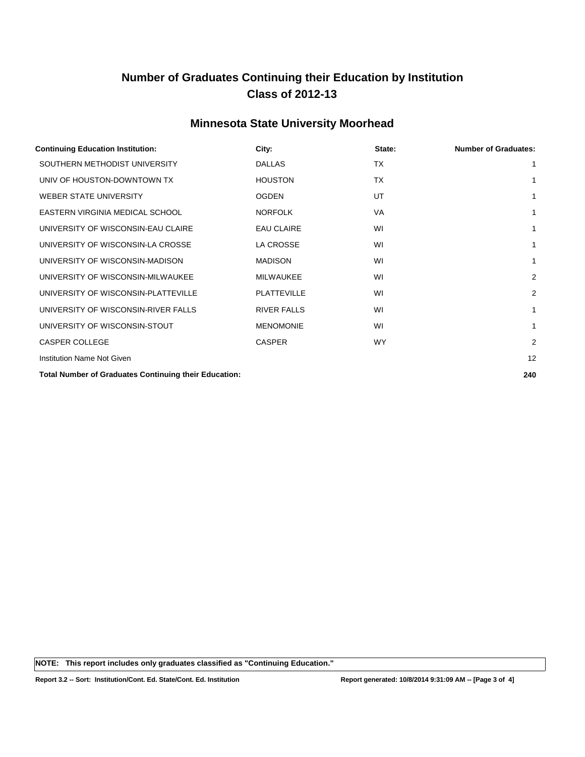### **Minnesota State University Moorhead**

| <b>Continuing Education Institution:</b>                     | City:              | State:    | <b>Number of Graduates:</b> |
|--------------------------------------------------------------|--------------------|-----------|-----------------------------|
| SOUTHERN METHODIST UNIVERSITY                                | <b>DALLAS</b>      | <b>TX</b> | 1                           |
| UNIV OF HOUSTON-DOWNTOWN TX                                  | <b>HOUSTON</b>     | <b>TX</b> | 1                           |
| WEBER STATE UNIVERSITY                                       | <b>OGDEN</b>       | UT        | 1                           |
| EASTERN VIRGINIA MEDICAL SCHOOL                              | <b>NORFOLK</b>     | VA        | 1                           |
| UNIVERSITY OF WISCONSIN-EAU CLAIRE                           | <b>EAU CLAIRE</b>  | WI        | 1                           |
| UNIVERSITY OF WISCONSIN-LA CROSSE                            | <b>LA CROSSE</b>   | WI        | 1                           |
| UNIVERSITY OF WISCONSIN-MADISON                              | <b>MADISON</b>     | WI        | 1                           |
| UNIVERSITY OF WISCONSIN-MILWAUKEE                            | <b>MILWAUKEE</b>   | WI        | $\overline{2}$              |
| UNIVERSITY OF WISCONSIN-PLATTEVILLE                          | <b>PLATTEVILLE</b> | WI        | $\overline{2}$              |
| UNIVERSITY OF WISCONSIN-RIVER FALLS                          | <b>RIVER FALLS</b> | WI        | 1                           |
| UNIVERSITY OF WISCONSIN-STOUT                                | <b>MENOMONIE</b>   | WI        | 1                           |
| <b>CASPER COLLEGE</b>                                        | <b>CASPER</b>      | <b>WY</b> | $\overline{2}$              |
| Institution Name Not Given                                   |                    |           | 12                          |
| <b>Total Number of Graduates Continuing their Education:</b> |                    |           | 240                         |

**NOTE: This report includes only graduates classified as "Continuing Education."**